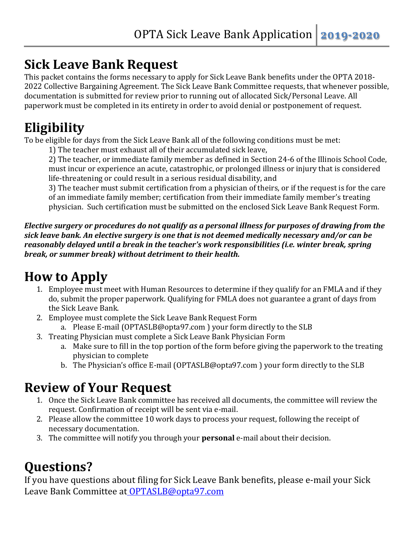### **Sick Leave Bank Request**

This packet contains the forms necessary to apply for Sick Leave Bank benefits under the OPTA 2018- 2022 Collective Bargaining Agreement. The Sick Leave Bank Committee requests, that whenever possible, documentation is submitted for review prior to running out of allocated Sick/Personal Leave. All paperwork must be completed in its entirety in order to avoid denial or postponement of request.

## **Eligibility**

To be eligible for days from the Sick Leave Bank all of the following conditions must be met:

1) The teacher must exhaust all of their accumulated sick leave,

2) The teacher, or immediate family member as defined in Section 24-6 of the Illinois School Code, must incur or experience an acute, catastrophic, or prolonged illness or injury that is considered life-threatening or could result in a serious residual disability, and

3) The teacher must submit certification from a physician of theirs, or if the request is for the care of an immediate family member; certification from their immediate family member's treating physician. Such certification must be submitted on the enclosed Sick Leave Bank Request Form.

*Elective surgery or procedures do not qualify as a personal illness for purposes of drawing from the sick leave bank. An elective surgery is one that is not deemed medically necessary and/or can be reasonably delayed until a break in the teacher's work responsibilities (i.e. winter break, spring break, or summer break) without detriment to their health.*

# **How to Apply**

- 1. Employee must meet with Human Resources to determine if they qualify for an FMLA and if they do, submit the proper paperwork. Qualifying for FMLA does not guarantee a grant of days from the Sick Leave Bank.
- 2. Employee must complete the Sick Leave Bank Request Form
	- a. Please E-mail (OPTASLB@opta97.com ) your form directly to the SLB
- 3. Treating Physician must complete a Sick Leave Bank Physician Form
	- a. Make sure to fill in the top portion of the form before giving the paperwork to the treating physician to complete
	- b. The Physician's office E-mail (OPTASLB@opta97.com ) your form directly to the SLB

### **Review of Your Request**

- 1. Once the Sick Leave Bank committee has received all documents, the committee will review the request. Confirmation of receipt will be sent via e-mail.
- 2. Please allow the committee 10 work days to process your request, following the receipt of necessary documentation.
- 3. The committee will notify you through your **personal** e-mail about their decision.

## **Questions?**

If you have questions about filing for Sick Leave Bank benefits, please e-mail your Sick Leave Bank Committee at [OPTASLB@opta97.com](mailto:OPTASLB@op97.org)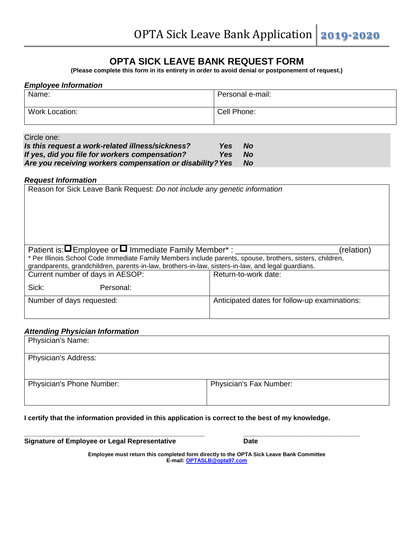### **OPTA SICK LEAVE BANK REQUEST FORM**

**(Please complete this form in its entirety in order to avoid denial or postponement of request.)**

### *Employee Information* Name: Personal e-mail: Work Location: <br>
Cell Phone: 
Cell Phone:

#### Circle one:

| Is this request a work-related illness/sickness?          | <b>Yes</b> | <b>No</b> |
|-----------------------------------------------------------|------------|-----------|
| If yes, did you file for workers compensation?            | Yes        | - No      |
| Are you receiving workers compensation or disability? Yes |            | <b>No</b> |

#### *Request Information*

| Reason for Sick Leave Bank Request: Do not include any genetic information                                |           |                                               |  |
|-----------------------------------------------------------------------------------------------------------|-----------|-----------------------------------------------|--|
| Patient is: $\blacksquare$ Employee or $\blacksquare$ Immediate Family Member* : ____<br>(relation)       |           |                                               |  |
| * Per Illinois School Code Immediate Family Members include parents, spouse, brothers, sisters, children, |           |                                               |  |
| grandparents, grandchildren, parents-in-law, brothers-in-law, sisters-in-law, and legal guardians.        |           |                                               |  |
| Current number of days in AESOP:                                                                          |           | Return-to-work date:                          |  |
| Sick:                                                                                                     | Personal: |                                               |  |
| Number of days requested:                                                                                 |           | Anticipated dates for follow-up examinations: |  |
|                                                                                                           |           |                                               |  |

#### *Attending Physician Information*

| Physician's Name:                |                         |  |
|----------------------------------|-------------------------|--|
| <b>Physician's Address:</b>      |                         |  |
|                                  |                         |  |
| <b>Physician's Phone Number:</b> | Physician's Fax Number: |  |
|                                  |                         |  |

#### **I certify that the information provided in this application is correct to the best of my knowledge.**

**\_\_\_\_\_\_\_\_\_\_\_\_\_\_\_\_\_\_\_\_\_\_\_\_\_\_\_\_\_\_\_\_\_\_\_\_\_\_\_\_\_\_\_\_\_\_\_\_ \_\_\_\_\_\_\_\_\_\_\_\_\_\_\_\_\_\_\_\_\_\_\_\_\_\_\_\_\_\_\_**

| <b>Signature of Employee or Legal Representative</b> | <b>Date</b> |
|------------------------------------------------------|-------------|
|                                                      |             |

**Employee must return this completed form directly to the OPTA Sick Leave Bank Committee E-mail: [OPTASLB@opta97.com](mailto:OPTASLB@op97.org)**